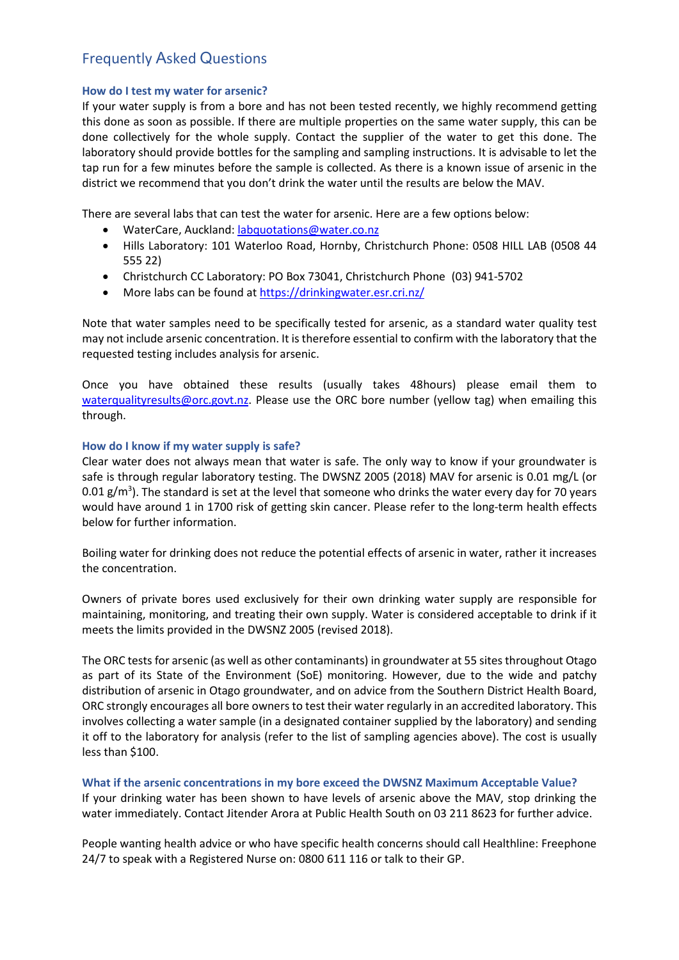# Frequently Asked Questions

# **How do I test my water for arsenic?**

If your water supply is from a bore and has not been tested recently, we highly recommend getting this done as soon as possible. If there are multiple properties on the same water supply, this can be done collectively for the whole supply. Contact the supplier of the water to get this done. The laboratory should provide bottles for the sampling and sampling instructions. It is advisable to let the tap run for a few minutes before the sample is collected. As there is a known issue of arsenic in the district we recommend that you don't drink the water until the results are below the MAV.

There are several labs that can test the water for arsenic. Here are a few options below:

- WaterCare, Auckland: [labquotations@water.co.nz](mailto:labquotations@water.co.nz)
- Hills Laboratory: 101 Waterloo Road, Hornby, Christchurch Phone: 0508 HILL LAB (0508 44 555 22)
- Christchurch CC Laboratory: PO Box 73041, Christchurch Phone (03) 941-5702
- More labs can be found a[t https://drinkingwater.esr.cri.nz/](https://drinkingwater.esr.cri.nz/)

Note that water samples need to be specifically tested for arsenic, as a standard water quality test may not include arsenic concentration. It is therefore essential to confirm with the laboratory that the requested testing includes analysis for arsenic.

Once you have obtained these results (usually takes 48hours) please email them to [waterqualityresults@orc.govt.nz.](mailto:waterqualityresults@orc.govt.nz) Please use the ORC bore number (yellow tag) when emailing this through.

# **How do I know if my water supply is safe?**

Clear water does not always mean that water is safe. The only way to know if your groundwater is safe is through regular laboratory testing. The DWSNZ 2005 (2018) MAV for arsenic is 0.01 mg/L (or 0.01  $\rm g/m^3$ ). The standard is set at the level that someone who drinks the water every day for 70 years would have around 1 in 1700 risk of getting skin cancer. Please refer to the long-term health effects below for further information.

Boiling water for drinking does not reduce the potential effects of arsenic in water, rather it increases the concentration.

Owners of private bores used exclusively for their own drinking water supply are responsible for maintaining, monitoring, and treating their own supply. Water is considered acceptable to drink if it meets the limits provided in the DWSNZ 2005 (revised 2018).

The ORC testsfor arsenic (as well as other contaminants) in groundwater at 55 sites throughout Otago as part of its State of the Environment (SoE) monitoring. However, due to the wide and patchy distribution of arsenic in Otago groundwater, and on advice from the Southern District Health Board, ORC strongly encourages all bore owners to test their water regularly in an accredited laboratory. This involves collecting a water sample (in a designated container supplied by the laboratory) and sending it off to the laboratory for analysis (refer to the list of sampling agencies above). The cost is usually less than \$100.

**What if the arsenic concentrations in my bore exceed the DWSNZ Maximum Acceptable Value?** If your drinking water has been shown to have levels of arsenic above the MAV, stop drinking the water immediately. Contact Jitender Arora at Public Health South on 03 211 8623 for further advice.

People wanting health advice or who have specific health concerns should call Healthline: Freephone 24/7 to speak with a Registered Nurse on: 0800 611 116 or talk to their GP.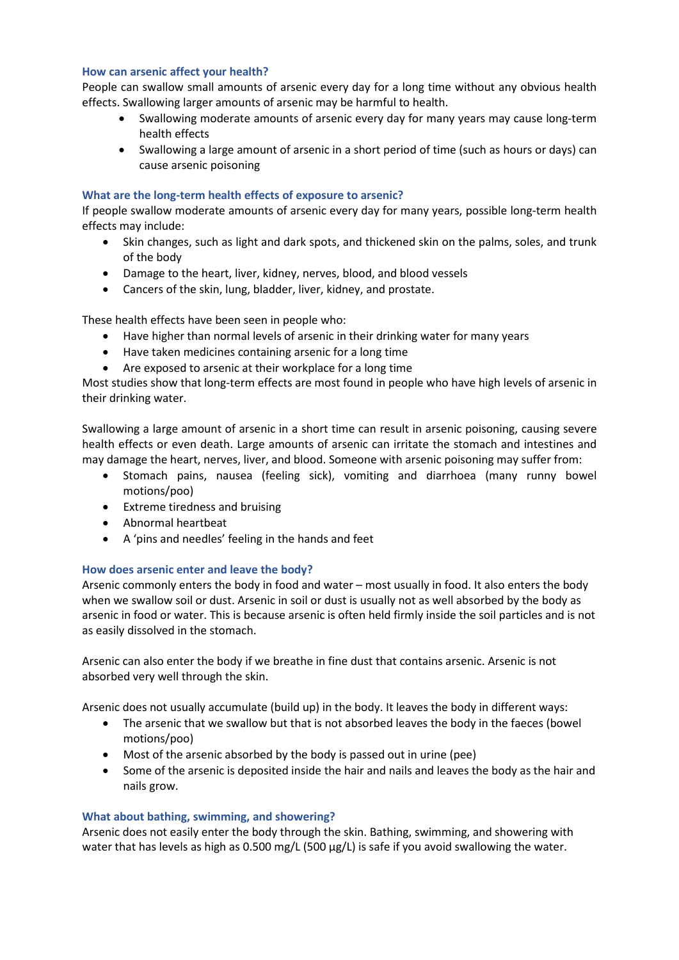## **How can arsenic affect your health?**

People can swallow small amounts of arsenic every day for a long time without any obvious health effects. Swallowing larger amounts of arsenic may be harmful to health.

- Swallowing moderate amounts of arsenic every day for many years may cause long-term health effects
- Swallowing a large amount of arsenic in a short period of time (such as hours or days) can cause arsenic poisoning

## **What are the long-term health effects of exposure to arsenic?**

If people swallow moderate amounts of arsenic every day for many years, possible long-term health effects may include:

- Skin changes, such as light and dark spots, and thickened skin on the palms, soles, and trunk of the body
- Damage to the heart, liver, kidney, nerves, blood, and blood vessels
- Cancers of the skin, lung, bladder, liver, kidney, and prostate.

These health effects have been seen in people who:

- Have higher than normal levels of arsenic in their drinking water for many years
- Have taken medicines containing arsenic for a long time
- Are exposed to arsenic at their workplace for a long time

Most studies show that long-term effects are most found in people who have high levels of arsenic in their drinking water.

Swallowing a large amount of arsenic in a short time can result in arsenic poisoning, causing severe health effects or even death. Large amounts of arsenic can irritate the stomach and intestines and may damage the heart, nerves, liver, and blood. Someone with arsenic poisoning may suffer from:

- Stomach pains, nausea (feeling sick), vomiting and diarrhoea (many runny bowel motions/poo)
- Extreme tiredness and bruising
- Abnormal heartbeat
- A 'pins and needles' feeling in the hands and feet

## **How does arsenic enter and leave the body?**

Arsenic commonly enters the body in food and water – most usually in food. It also enters the body when we swallow soil or dust. Arsenic in soil or dust is usually not as well absorbed by the body as arsenic in food or water. This is because arsenic is often held firmly inside the soil particles and is not as easily dissolved in the stomach.

Arsenic can also enter the body if we breathe in fine dust that contains arsenic. Arsenic is not absorbed very well through the skin.

Arsenic does not usually accumulate (build up) in the body. It leaves the body in different ways:

- The arsenic that we swallow but that is not absorbed leaves the body in the faeces (bowel motions/poo)
- Most of the arsenic absorbed by the body is passed out in urine (pee)
- Some of the arsenic is deposited inside the hair and nails and leaves the body as the hair and nails grow.

#### **What about bathing, swimming, and showering?**

Arsenic does not easily enter the body through the skin. Bathing, swimming, and showering with water that has levels as high as 0.500 mg/L (500 µg/L) is safe if you avoid swallowing the water.